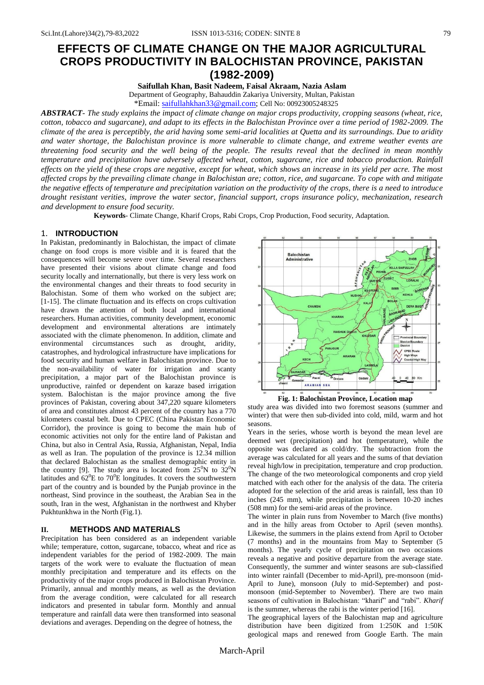# **EFFECTS OF CLIMATE CHANGE ON THE MAJOR AGRICULTURAL CROPS PRODUCTIVITY IN BALOCHISTAN PROVINCE, PAKISTAN (1982-2009)**

**Saifullah Khan, Basit Nadeem, Faisal Akraam, Nazia Aslam**

Department of Geography, Bahauddin Zakariya University, Multan, Pakistan

\*Email: [saifullahkhan33@gmail.com;](mailto:saifullahkhan33@gmail.com) Cell No: 00923005248325

*ABSTRACT- The study explains the impact of climate change on major crops productivity, cropping seasons (wheat, rice, cotton, tobacco and sugarcane), and adapt to its effects in the Balochistan Province over a time period of 1982-2009. The climate of the area is perceptibly, the arid having some semi-arid localities at Quetta and its surroundings. Due to aridity and water shortage, the Balochistan province is more vulnerable to climate change, and extreme weather events are threatening food security and the well being of the people. The results reveal that the declined in mean monthly temperature and precipitation have adversely affected wheat, cotton, sugarcane, rice and tobacco production. Rainfall effects on the yield of these crops are negative, except for wheat, which shows an increase in its yield per acre. The most affected crops by the prevailing climate change in Balochistan are; cotton, rice, and sugarcane. To cope with and mitigate the negative effects of temperature and precipitation variation on the productivity of the crops, there is a need to introduce drought resistant verities, improve the water sector, financial support, crops insurance policy, mechanization, research and development to ensure food security.*

**Keywords**- Climate Change, Kharif Crops, Rabi Crops, Crop Production, Food security, Adaptation.

#### 1. **INTRODUCTION**

In Pakistan, predominantly in Balochistan, the impact of climate change on food crops is more visible and it is feared that the consequences will become severe over time. Several researchers have presented their visions about climate change and food security locally and internationally, but there is very less work on the environmental changes and their threats to food security in Balochistan. Some of them who worked on the subject are; [1-15]. The climate fluctuation and its effects on crops cultivation have drawn the attention of both local and international researchers. Human activities, community development, economic development and environmental alterations are intimately associated with the climate phenomenon. In addition, climate and environmental circumstances such as drought, aridity, catastrophes, and hydrological infrastructure have implications for food security and human welfare in Balochistan province. Due to the non-availability of water for irrigation and scanty precipitation, a major part of the Balochistan province is unproductive, rainfed or dependent on karaze based irrigation system. Balochistan is the major province among the five provinces of Pakistan, covering about 347,220 square kilometers of area and constitutes almost 43 percent of the country has a 770 kilometers coastal belt. Due to CPEC (China Pakistan Economic Corridor), the province is going to become the main hub of economic activities not only for the entire land of Pakistan and China, but also in Central Asia, Russia, Afghanistan, Nepal, India as well as Iran. The population of the province is 12.34 million that declared Balochistan as the smallest demographic entity in the country [9]. The study area is located from  $25^{\circ}$ N to  $32^{\circ}$ N latitudes and  $62^0E$  to  $70^0E$  longitudes. It covers the southwestern part of the country and is bounded by the Punjab province in the northeast, Sind province in the southeast, the Arabian Sea in the south, Iran in the west, Afghanistan in the northwest and Khyber Pukhtunkhwa in the North (Fig.1).

## **II. METHODS AND MATERIALS**

Precipitation has been considered as an independent variable while; temperature, cotton, sugarcane, tobacco, wheat and rice as independent variables for the period of 1982-2009. The main targets of the work were to evaluate the fluctuation of mean monthly precipitation and temperature and its effects on the productivity of the major crops produced in Balochistan Province. Primarily, annual and monthly means, as well as the deviation from the average condition, were calculated for all research indicators and presented in tabular form. Monthly and annual temperature and rainfall data were then transformed into seasonal deviations and averages. Depending on the degree of hotness, the



**Fig. 1: Balochistan Province, Location map**

study area was divided into two foremost seasons (summer and winter) that were then sub-divided into cold, mild, warm and hot seasons.

Years in the series, whose worth is beyond the mean level are deemed wet (precipitation) and hot (temperature), while the opposite was declared as cold/dry. The subtraction from the average was calculated for all years and the sums of that deviation reveal high/low in precipitation, temperature and crop production. The change of the two meteorological components and crop yield matched with each other for the analysis of the data. The criteria adopted for the selection of the arid areas is rainfall, less than 10 inches (245 mm), while precipitation is between 10-20 inches (508 mm) for the semi-arid areas of the province.

The winter in plain runs from November to March (five months) and in the hilly areas from October to April (seven months). Likewise, the summers in the plains extend from April to October (7 months) and in the mountains from May to September (5 months). The yearly cycle of precipitation on two occasions reveals a negative and positive departure from the average state. Consequently, the summer and winter seasons are sub-classified into winter rainfall (December to mid-April), pre-monsoon (mid-April to June), monsoon (July to mid-September) and postmonsoon (mid-September to November). There are two main seasons of cultivation in Balochistan: "kharif" and "rabi". *Kharif*  is the summer, whereas the rabi is the winter period [16].

The geographical layers of the Balochistan map and agriculture distribution have been digitized from 1:250K and 1:50K geological maps and renewed from Google Earth. The main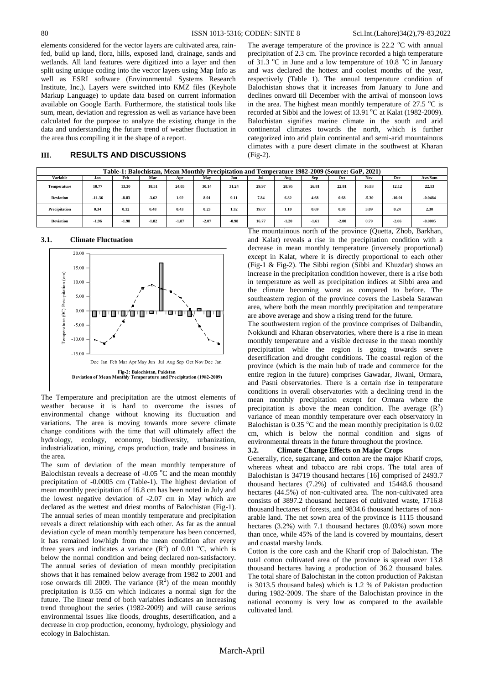elements considered for the vector layers are cultivated area, rainfed, build up land, flora, hills, exposed land, drainage, sands and wetlands. All land features were digitized into a layer and then split using unique coding into the vector layers using Map Info as well as ESRI software (Environmental Systems Research Institute, Inc.). Layers were switched into KMZ files (Keyhole Markup Language) to update data based on current information available on Google Earth. Furthermore, the statistical tools like sum, mean, deviation and regression as well as variance have been calculated for the purpose to analyze the existing change in the data and understanding the future trend of weather fluctuation in the area thus compiling it in the shape of a report.

## **III. RESULTS AND DISCUSSIONS**

The average temperature of the province is  $22.2 \text{ °C}$  with annual precipitation of 2.3 cm. The province recorded a high temperature of 31.3  $\degree$ C in June and a low temperature of 10.8  $\degree$ C in January and was declared the hottest and coolest months of the year, respectively (Table 1). The annual temperature condition of Balochistan shows that it increases from January to June and declines onward till December with the arrival of monsoon lows in the area. The highest mean monthly temperature of  $27.5 \text{ °C}$  is recorded at Sibbi and the lowest of  $13.91\text{ °C}$  at Kalat (1982-2009). Balochistan signifies marine climate in the south and arid continental climates towards the north, which is further categorized into arid plain continental and semi-arid mountainous climates with a pure desert climate in the southwest at Kharan (Fig-2).

| Table-1: Balochistan, Mean Monthly Precipitation and Temperature 1982-2009 (Source: GoP, 2021)                        |          |         |         |         |         |         |       |         |         |         |         |          |           |
|-----------------------------------------------------------------------------------------------------------------------|----------|---------|---------|---------|---------|---------|-------|---------|---------|---------|---------|----------|-----------|
| <b>Variable</b>                                                                                                       | Jan      | Feb     | Mar     | Apr     | May     | Jun     | Jul   | Aug     | Sep     | Oct     | Nov     | Dec      | Ave/Sum   |
| Temperature                                                                                                           | 10.77    | 13.30   | 18.51   | 24.05   | 30.14   | 31.24   | 29.97 | 28.95   | 26.81   | 22.81   | 16.83   | 12.12    | 22.13     |
| <b>Deviation</b>                                                                                                      | $-11.36$ | $-8.83$ | $-3.62$ | 1.92    | 8.01    | 9.11    | 7.84  | 6.82    | 4.68    | 0.68    | $-5.30$ | $-10.01$ | $-0.0484$ |
| Precipitation                                                                                                         | 0.34     | 0.32    | 0.48    | 0.43    | 0.23    | 1.32    | 19.07 | 1.10    | 0.69    | 0.30    | 3.09    | 0.24     | 2.30      |
| <b>Deviation</b>                                                                                                      | $-1.96$  | $-1.98$ | $-1.82$ | $-1.87$ | $-2.07$ | $-0.98$ | 16.77 | $-1.20$ | $-1.61$ | $-2.00$ | 0.79    | $-2.06$  | $-0.0005$ |
| <b>COMPOS</b><br>$\sim$ $\cdot$ $\cdot$<br>$\sim$<br>$-1$<br>$\mathbf{r}$ $\mathbf{r}$<br>$\cdot$ 1.<br>$\sim$ $\sim$ |          |         |         |         |         |         |       |         |         |         |         |          |           |

**3.1. Climate Fluctuation**



The Temperature and precipitation are the utmost elements of weather because it is hard to overcome the issues of environmental change without knowing its fluctuation and variations. The area is moving towards more severe climate change conditions with the time that will ultimately affect the hydrology, ecology, economy, biodiversity, urbanization, industrialization, mining, crops production, trade and business in the area.

The sum of deviation of the mean monthly temperature of Balochistan reveals a decrease of  $-0.05\ ^{\circ}C$  and the mean monthly precipitation of -0.0005 cm (Table-1). The highest deviation of mean monthly precipitation of 16.8 cm has been noted in July and the lowest negative deviation of -2.07 cm in May which are declared as the wettest and driest months of Balochistan (Fig-1). The annual series of mean monthly temperature and precipitation reveals a direct relationship with each other. As far as the annual deviation cycle of mean monthly temperature has been concerned, it has remained low/high from the mean condition after every three years and indicates a variance  $(R^2)$  of 0.01 °C, which is below the normal condition and being declared non-satisfactory. The annual series of deviation of mean monthly precipitation shows that it has remained below average from 1982 to 2001 and rose onwards till 2009. The variance  $(R^2)$  of the mean monthly precipitation is 0.55 cm which indicates a normal sign for the future. The linear trend of both variables indicates an increasing trend throughout the series (1982-2009) and will cause serious environmental issues like floods, droughts, desertification, and a decrease in crop production, economy, hydrology, physiology and ecology in Balochistan.

The mountainous north of the province (Quetta, Zhob, Barkhan, and Kalat) reveals a rise in the precipitation condition with a decrease in mean monthly temperature (inversely proportional) except in Kalat, where it is directly proportional to each other (Fig-1 & Fig-2). The Sibbi region (Sibbi and Khuzdar) shows an increase in the precipitation condition however, there is a rise both in temperature as well as precipitation indices at Sibbi area and the climate becoming worst as compared to before. The southeastern region of the province covers the Lasbela Sarawan area, where both the mean monthly precipitation and temperature are above average and show a rising trend for the future.

The southwestern region of the province comprises of Dalbandin, Nokkundi and Kharan observatories, where there is a rise in mean monthly temperature and a visible decrease in the mean monthly precipitation while the region is going towards severe desertification and drought conditions. The coastal region of the province (which is the main hub of trade and commerce for the entire region in the future) comprises Gawadar, Jiwani, Ormara, and Pasni observatories. There is a certain rise in temperature conditions in overall observatories with a declining trend in the mean monthly precipitation except for Ormara where the precipitation is above the mean condition. The average  $(R^2)$ variance of mean monthly temperature over each observatory in Balochistan is  $0.35 \degree$ C and the mean monthly precipitation is  $0.02$ cm, which is below the normal condition and signs of environmental threats in the future throughout the province.

### **3.2. Climate Change Effects on Major Crops**

Generally, rice, sugarcane, and cotton are the major Kharif crops, whereas wheat and tobacco are rabi crops. The total area of Balochistan is 34719 thousand hectares [16] comprised of 2493.7 thousand hectares (7.2%) of cultivated and 15448.6 thousand hectares (44.5%) of non-cultivated area. The non-cultivated area consists of 3897.2 thousand hectares of cultivated waste, 1716.8 thousand hectares of forests, and 9834.6 thousand hectares of nonarable land. The net sown area of the province is 1115 thousand hectares (3.2%) with 7.1 thousand hectares (0.03%) sown more than once, while 45% of the land is covered by mountains, desert and coastal marshy lands.

Cotton is the core cash and the Kharif crop of Balochistan. The total cotton cultivated area of the province is spread over 13.8 thousand hectares having a production of 36.2 thousand bales. The total share of Balochistan in the cotton production of Pakistan is 3013.5 thousand bales) which is 1.2 % of Pakistan production during 1982-2009. The share of the Balochistan province in the national economy is very low as compared to the available cultivated land.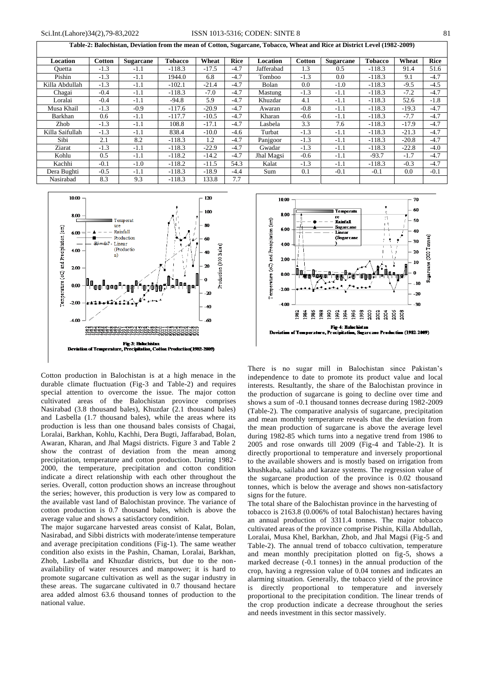**Table-2: Balochistan, Deviation from the mean of Cotton, Sugarcane, Tobacco, Wheat and Rice at District Level (1982-2009)**

| Location        | <b>Cotton</b> | <b>Sugarcane</b> | <b>Tobacco</b> | Wheat   | <b>Rice</b> | Location   | <b>Cotton</b> | <b>Sugarcane</b> | <b>Tobacco</b> | Wheat   | <b>Rice</b> |
|-----------------|---------------|------------------|----------------|---------|-------------|------------|---------------|------------------|----------------|---------|-------------|
| Ouetta          | $-1.3$        | $-1.1$           | $-118.3$       | $-17.5$ | $-4.7$      | Jafferabad | 1.3           | 0.5              | $-118.3$       | 91.4    | 51.6        |
| Pishin          | $-1.3$        | $-1.1$           | 1944.0         | 6.8     | $-4.7$      | Tomboo     | $-1.3$        | 0.0              | $-118.3$       | 9.1     | $-4.7$      |
| Killa Abdullah  | $-1.3$        | $-1.1$           | $-102.1$       | $-21.4$ | $-4.7$      | Bolan      | 0.0           | $-1.0$           | $-118.3$       | $-9.5$  | $-4.5$      |
| Chagai          | $-0.4$        | $-1.1$           | $-118.3$       | $-7.0$  | $-4.7$      | Mastung    | $-1.3$        | $-1.1$           | $-118.3$       | $-7.2$  | $-4.7$      |
| Loralai         | $-0.4$        | $-1.1$           | $-94.8$        | 5.9     | $-4.7$      | Khuzdar    | 4.1           | $-1.1$           | $-118.3$       | 52.6    | $-1.8$      |
| Musa Khail      | $-1.3$        | $-0.9$           | $-117.6$       | $-20.9$ | $-4.7$      | Awaran     | $-0.8$        | $-1.1$           | $-118.3$       | $-19.3$ | $-4.7$      |
| Barkhan         | 0.6           | $-1.1$           | $-117.7$       | $-10.5$ | $-4.7$      | Kharan     | $-0.6$        | $-1.1$           | $-118.3$       | $-7.7$  | $-4.7$      |
| Zhob            | $-1.3$        | $-1.1$           | 108.8          | $-17.1$ | $-4.7$      | Lasbela    | 3.3           | 7.6              | $-118.3$       | $-17.9$ | $-4.7$      |
| Killa Saifullah | $-1.3$        | $-1.1$           | 838.4          | $-10.0$ | $-4.6$      | Turbat     | $-1.3$        | $-1.1$           | $-118.3$       | $-21.3$ | $-4.7$      |
| Sibi            | 2.1           | 8.2              | $-118.3$       | 1.2     | $-4.7$      | Panjgoor   | $-1.3$        | $-1.1$           | $-118.3$       | $-20.8$ | $-4.7$      |
| Ziarat          | $-1.3$        | $-1.1$           | $-118.3$       | $-22.9$ | $-4.7$      | Gwadar     | $-1.3$        | $-1.1$           | $-118.3$       | $-22.8$ | $-4.0$      |
| Kohlu           | 0.5           | $-1.1$           | $-118.2$       | $-14.2$ | $-4.7$      | Jhal Magsi | $-0.6$        | $-1.1$           | $-93.7$        | $-1.7$  | $-4.7$      |
| Kachhi          | $-0.1$        | $-1.0$           | $-118.2$       | $-11.5$ | 54.3        | Kalat      | $-1.3$        | $-1.1$           | $-118.3$       | $-0.3$  | $-4.7$      |
| Dera Bughti     | $-0.5$        | $-1.1$           | $-118.3$       | $-18.9$ | $-4.4$      | Sum        | 0.1           | $-0.1$           | $-0.1$         | 0.0     | $-0.1$      |
| Nasirabad       | 8.3           | 9.3              | $-118.3$       | 33.8    | 7.7         |            |               |                  |                |         |             |



Cotton production in Balochistan is at a high menace in the durable climate fluctuation (Fig-3 and Table-2) and requires special attention to overcome the issue. The major cotton cultivated areas of the Balochistan province comprises Nasirabad (3.8 thousand bales), Khuzdar (2.1 thousand bales) and Lasbella (1.7 thousand bales), while the areas where its production is less than one thousand bales consists of Chagai, Loralai, Barkhan, Kohlu, Kachhi, Dera Bugti, Jaffarabad, Bolan, Awaran, Kharan, and Jhal Magsi districts. Figure 3 and Table 2 show the contrast of deviation from the mean among precipitation, temperature and cotton production. During 1982- 2000, the temperature, precipitation and cotton condition indicate a direct relationship with each other throughout the series. Overall, cotton production shows an increase throughout the series; however, this production is very low as compared to the available vast land of Balochistan province. The variance of cotton production is 0.7 thousand bales, which is above the average value and shows a satisfactory condition.

The major sugarcane harvested areas consist of Kalat, Bolan, Nasirabad, and Sibbi districts with moderate/intense temperature and average precipitation conditions (Fig-1). The same weather condition also exists in the Pashin, Chaman, Loralai, Barkhan, Zhob, Lasbella and Khuzdar districts, but due to the nonavailability of water resources and manpower; it is hard to promote sugarcane cultivation as well as the sugar industry in these areas. The sugarcane cultivated in 0.7 thousand hectare area added almost 63.6 thousand tonnes of production to the national value.



There is no sugar mill in Balochistan since Pakistan's independence to date to promote its product value and local interests. Resultantly, the share of the Balochistan province in the production of sugarcane is going to decline over time and shows a sum of -0.1 thousand tonnes decrease during 1982-2009 (Table-2). The comparative analysis of sugarcane, precipitation and mean monthly temperature reveals that the deviation from the mean production of sugarcane is above the average level during 1982-85 which turns into a negative trend from 1986 to 2005 and rose onwards till 2009 (Fig-4 and Table-2). It is directly proportional to temperature and inversely proportional to the available showers and is mostly based on irrigation from khushkaba, sailaba and karaze systems. The regression value of the sugarcane production of the province is 0.02 thousand tonnes, which is below the average and shows non-satisfactory signs for the future.

The total share of the Balochistan province in the harvesting of tobacco is 2163.8 (0.006% of total Balochistan) hectares having an annual production of 3311.4 tonnes. The major tobacco cultivated areas of the province comprise Pishin, Killa Abdullah, Loralai, Musa Khel, Barkhan, Zhob, and Jhal Magsi (Fig-5 and Table-2). The annual trend of tobacco cultivation, temperature and mean monthly precipitation plotted on fig-5, shows a marked decrease (-0.1 tonnes) in the annual production of the crop, having a regression value of 0.04 tonnes and indicates an alarming situation. Generally, the tobacco yield of the province is directly proportional to temperature and inversely proportional to the precipitation condition. The linear trends of the crop production indicate a decrease throughout the series and needs investment in this sector massively.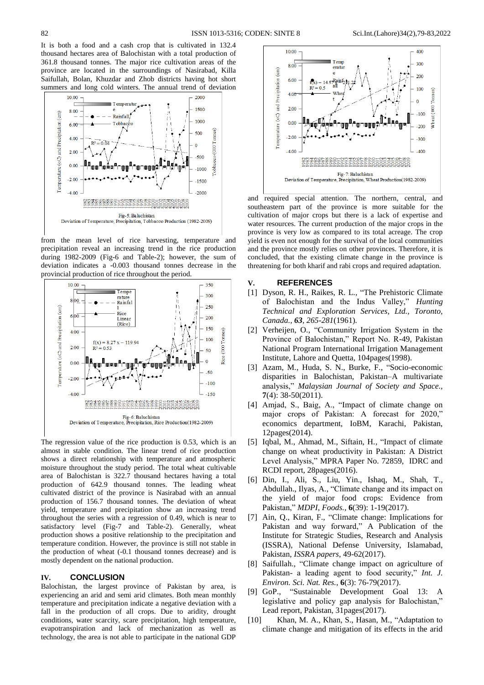It is both a food and a cash crop that is cultivated in 132.4 thousand hectares area of Balochistan with a total production of 361.8 thousand tonnes. The major rice cultivation areas of the province are located in the surroundings of Nasirabad, Killa Saifullah, Bolan, Khuzdar and Zhob districts having hot short summers and long cold winters. The annual trend of deviation



from the mean level of rice harvesting, temperature and precipitation reveal an increasing trend in the rice production during 1982-2009 (Fig-6 and Table-2); however, the sum of deviation indicates a -0.003 thousand tonnes decrease in the provincial production of rice throughout the period.



The regression value of the rice production is 0.53, which is an almost in stable condition. The linear trend of rice production shows a direct relationship with temperature and atmospheric moisture throughout the study period. The total wheat cultivable area of Balochistan is 322.7 thousand hectares having a total production of 642.9 thousand tonnes. The leading wheat cultivated district of the province is Nasirabad with an annual production of 156.7 thousand tonnes. The deviation of wheat yield, temperature and precipitation show an increasing trend throughout the series with a regression of 0.49, which is near to satisfactory level (Fig-7 and Table-2). Generally, wheat production shows a positive relationship to the precipitation and temperature condition. However, the province is still not stable in the production of wheat (-0.1 thousand tonnes decrease) and is mostly dependent on the national production.

#### **IV. CONCLUSION**

Balochistan, the largest province of Pakistan by area, is experiencing an arid and semi arid climates. Both mean monthly temperature and precipitation indicate a negative deviation with a fall in the production of all crops. Due to aridity, drought conditions, water scarcity, scare precipitation, high temperature, evapotranspiration and lack of mechanization as well as technology, the area is not able to participate in the national GDP



and required special attention. The northern, central, and southeastern part of the province is more suitable for the cultivation of major crops but there is a lack of expertise and water resources. The current production of the major crops in the province is very low as compared to its total acreage. The crop yield is even not enough for the survival of the local communities and the province mostly relies on other provinces. Therefore, it is concluded, that the existing climate change in the province is threatening for both kharif and rabi crops and required adaptation.

#### **V. REFERENCES**

- [1] Dyson, R. H., Raikes, R. L., "The Prehistoric Climate of Balochistan and the Indus Valley," *Hunting Technical and Exploration Services, Ltd., Toronto, Canada., 63, 265-281*(1961)*.*
- [2] Verheijen, O., "Community Irrigation System in the Province of Balochistan," Report No. R-49, Pakistan National Program International Irrigation Management Institute, Lahore and Quetta, 104pages(1998).
- [3] Azam, M., Huda, S. N., Burke, F., "Socio-economic disparities in Balochistan, Pakistan–A multivariate analysis," *Malaysian Journal of Society and Space.,* **7**(4): 38-50(2011).
- [4] Amjad, S., Baig, A., "Impact of climate change on major crops of Pakistan: A forecast for 2020," economics department, IoBM, Karachi, Pakistan, 12pages(2014).
- [5] Iqbal, M., Ahmad, M., Siftain, H., "Impact of climate change on wheat productivity in Pakistan: A District Level Analysis," MPRA Paper No. 72859, IDRC and RCDI report, 28pages(2016).
- [6] Din, I., Ali, S., Liu, Yin., Ishaq, M., Shah, T., Abdullah., Ilyas, A., "Climate change and its impact on the yield of major food crops: Evidence from Pakistan," *MDPI*, *Foods.,* **6**(39): 1-19(2017).
- [7] Ain, Q., Kiran, F., "Climate change: Implications for Pakistan and way forward," A Publication of the Institute for Strategic Studies, Research and Analysis (ISSRA), National Defense University, Islamabad, Pakistan, *ISSRA papers*, 49-62(2017).
- [8] Saifullah., "Climate change impact on agriculture of Pakistan- a leading agent to food security," *Int. J. Environ. Sci. Nat. Res.,* **6**(3): 76-79(2017).
- [9] GoP., "Sustainable Development Goal 13: A legislative and policy gap analysis for Balochistan," Lead report, Pakistan, 31pages(2017).
- [10] Khan, M. A., Khan, S., Hasan, M., "Adaptation to climate change and mitigation of its effects in the arid